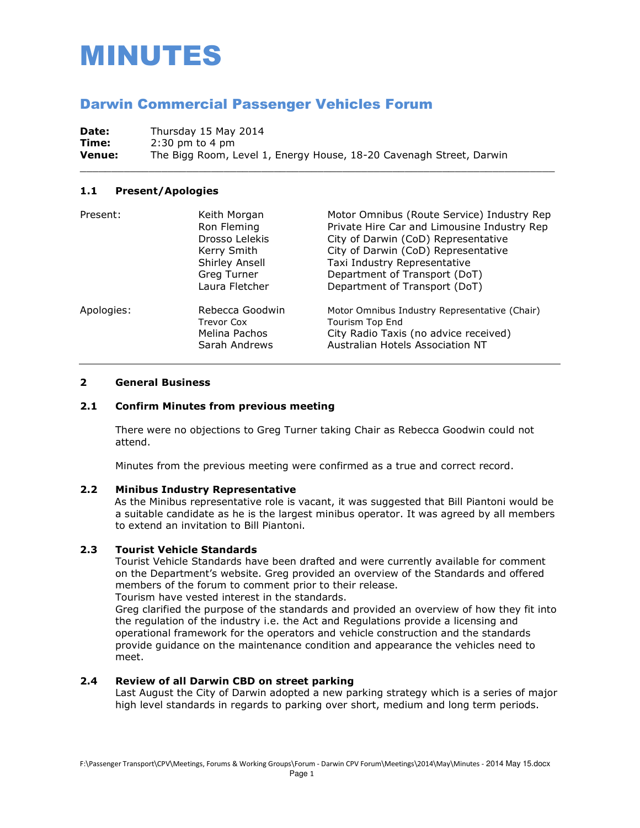# MINUTES

# Darwin Commercial Passenger Vehicles Forum

**Date:** Thursday 15 May 2014 **Time:** 2:30 pm to 4 pm **Venue:** The Bigg Room, Level 1, Energy House, 18-20 Cavenagh Street, Darwin

#### **1.1 Present/Apologies**

| Present:   | Keith Morgan<br>Ron Fleming<br>Drosso Lelekis<br>Kerry Smith<br>Shirley Ansell<br>Greg Turner<br>Laura Fletcher | Motor Omnibus (Route Service) Industry Rep<br>Private Hire Car and Limousine Industry Rep<br>City of Darwin (CoD) Representative<br>City of Darwin (CoD) Representative<br>Taxi Industry Representative<br>Department of Transport (DoT)<br>Department of Transport (DoT) |
|------------|-----------------------------------------------------------------------------------------------------------------|---------------------------------------------------------------------------------------------------------------------------------------------------------------------------------------------------------------------------------------------------------------------------|
| Apologies: | Rebecca Goodwin<br><b>Trevor Cox</b><br>Melina Pachos<br>Sarah Andrews                                          | Motor Omnibus Industry Representative (Chair)<br><b>Tourism Top End</b><br>City Radio Taxis (no advice received)<br>Australian Hotels Association NT                                                                                                                      |

\_\_\_\_\_\_\_\_\_\_\_\_\_\_\_\_\_\_\_\_\_\_\_\_\_\_\_\_\_\_\_\_\_\_\_\_\_\_\_\_\_\_\_\_\_\_\_\_\_\_\_\_\_\_\_\_\_\_\_\_\_\_\_\_\_\_\_\_\_\_\_\_\_\_\_\_

# **2 General Business**

#### **2.1 Confirm Minutes from previous meeting**

There were no objections to Greg Turner taking Chair as Rebecca Goodwin could not attend.

Minutes from the previous meeting were confirmed as a true and correct record.

### **2.2 Minibus Industry Representative**

As the Minibus representative role is vacant, it was suggested that Bill Piantoni would be a suitable candidate as he is the largest minibus operator. It was agreed by all members to extend an invitation to Bill Piantoni.

#### **2.3 Tourist Vehicle Standards**

Tourist Vehicle Standards have been drafted and were currently available for comment on the Department's website. Greg provided an overview of the Standards and offered members of the forum to comment prior to their release. Tourism have vested interest in the standards.

Greg clarified the purpose of the standards and provided an overview of how they fit into the regulation of the industry i.e. the Act and Regulations provide a licensing and operational framework for the operators and vehicle construction and the standards provide guidance on the maintenance condition and appearance the vehicles need to meet.

# **2.4 Review of all Darwin CBD on street parking**

 Last August the City of Darwin adopted a new parking strategy which is a series of major high level standards in regards to parking over short, medium and long term periods.